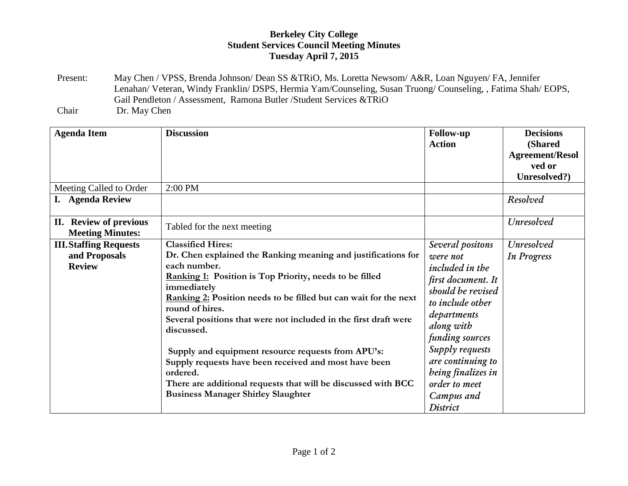## **Berkeley City College Student Services Council Meeting Minutes Tuesday April 7, 2015**

Present: May Chen / VPSS, Brenda Johnson/ Dean SS &TRiO, Ms. Loretta Newsom/ A&R, Loan Nguyen/ FA, Jennifer Lenahan/ Veteran, Windy Franklin/ DSPS, Hermia Yam/Counseling, Susan Truong/ Counseling, , Fatima Shah/ EOPS, Gail Pendleton / Assessment, Ramona Butler /Student Services &TRiO Chair Dr. May Chen

| <b>Agenda Item</b>                                              | <b>Discussion</b>                                                                                                                                                                                                                                                                                                                                                                                                                                                                                                                                                                                            | <b>Follow-up</b><br><b>Action</b>                                                                                                                                                                                                                                              | <b>Decisions</b><br>(Shared<br><b>Agreement/Resol</b><br>ved or<br>Unresolved?) |
|-----------------------------------------------------------------|--------------------------------------------------------------------------------------------------------------------------------------------------------------------------------------------------------------------------------------------------------------------------------------------------------------------------------------------------------------------------------------------------------------------------------------------------------------------------------------------------------------------------------------------------------------------------------------------------------------|--------------------------------------------------------------------------------------------------------------------------------------------------------------------------------------------------------------------------------------------------------------------------------|---------------------------------------------------------------------------------|
| Meeting Called to Order                                         | 2:00 PM                                                                                                                                                                                                                                                                                                                                                                                                                                                                                                                                                                                                      |                                                                                                                                                                                                                                                                                |                                                                                 |
| I. Agenda Review                                                |                                                                                                                                                                                                                                                                                                                                                                                                                                                                                                                                                                                                              |                                                                                                                                                                                                                                                                                | Resolved                                                                        |
| II. Review of previous<br><b>Meeting Minutes:</b>               | Tabled for the next meeting                                                                                                                                                                                                                                                                                                                                                                                                                                                                                                                                                                                  |                                                                                                                                                                                                                                                                                | Unresolved                                                                      |
| <b>III. Staffing Requests</b><br>and Proposals<br><b>Review</b> | <b>Classified Hires:</b><br>Dr. Chen explained the Ranking meaning and justifications for<br>each number.<br><b>Ranking 1:</b> Position is Top Priority, needs to be filled<br>immediately<br>Ranking 2: Position needs to be filled but can wait for the next<br>round of hires.<br>Several positions that were not included in the first draft were<br>discussed.<br>Supply and equipment resource requests from APU's:<br>Supply requests have been received and most have been<br>ordered.<br>There are additional requests that will be discussed with BCC<br><b>Business Manager Shirley Slaughter</b> | Several positons<br>were not<br><i>included in the</i><br>first document. It<br>should be revised<br>to include other<br>departments<br>along with<br>funding sources<br>Supply requests<br>are continuing to<br>being finalizes in<br>order to meet<br>Campus and<br>District | Unresolved<br><b>In Progress</b>                                                |